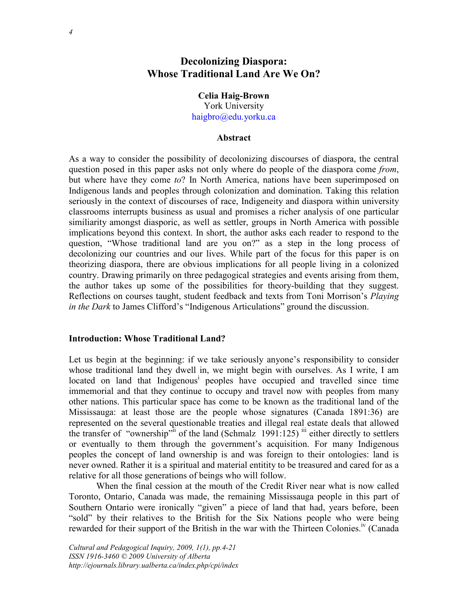# Decolonizing Diaspora: Whose Traditional Land Are We On?

Celia Haig-Brown York University haigbro@edu.yorku.ca

#### Abstract

As a way to consider the possibility of decolonizing discourses of diaspora, the central question posed in this paper asks not only where do people of the diaspora come *from*, but where have they come to? In North America, nations have been superimposed on Indigenous lands and peoples through colonization and domination. Taking this relation seriously in the context of discourses of race, Indigeneity and diaspora within university classrooms interrupts business as usual and promises a richer analysis of one particular similiarity amongst diasporic, as well as settler, groups in North America with possible implications beyond this context. In short, the author asks each reader to respond to the question, "Whose traditional land are you on?" as a step in the long process of decolonizing our countries and our lives. While part of the focus for this paper is on theorizing diaspora, there are obvious implications for all people living in a colonized country. Drawing primarily on three pedagogical strategies and events arising from them, the author takes up some of the possibilities for theory-building that they suggest. Reflections on courses taught, student feedback and texts from Toni Morrison's *Playing* in the Dark to James Clifford's "Indigenous Articulations" ground the discussion.

#### Introduction: Whose Traditional Land?

Let us begin at the beginning: if we take seriously anyone's responsibility to consider whose traditional land they dwell in, we might begin with ourselves. As I write, I am located on land that Indigenous<sup>i</sup> peoples have occupied and travelled since time immemorial and that they continue to occupy and travel now with peoples from many other nations. This particular space has come to be known as the traditional land of the Mississauga: at least those are the people whose signatures (Canada 1891:36) are represented on the several questionable treaties and illegal real estate deals that allowed the transfer of "ownership" of the land (Schmalz 1991:125) <sup>iii</sup> either directly to settlers or eventually to them through the government's acquisition. For many Indigenous peoples the concept of land ownership is and was foreign to their ontologies: land is never owned. Rather it is a spiritual and material entitity to be treasured and cared for as a relative for all those generations of beings who will follow.

When the final cession at the mouth of the Credit River near what is now called Toronto, Ontario, Canada was made, the remaining Mississauga people in this part of Southern Ontario were ironically "given" a piece of land that had, years before, been "sold" by their relatives to the British for the Six Nations people who were being rewarded for their support of the British in the war with the Thirteen Colonies.<sup>IV</sup> (Canada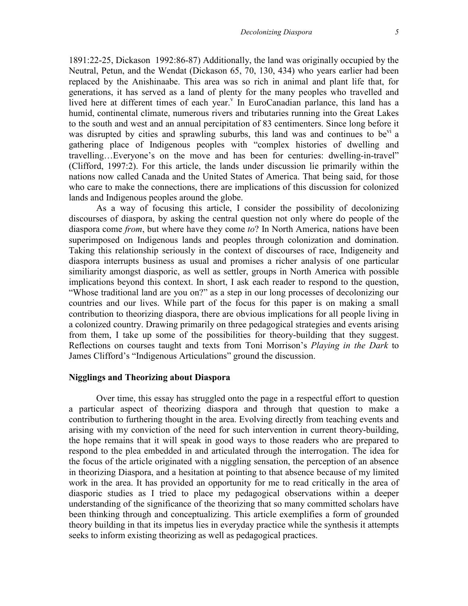1891:22-25, Dickason 1992:86-87) Additionally, the land was originally occupied by the Neutral, Petun, and the Wendat (Dickason 65, 70, 130, 434) who years earlier had been replaced by the Anishinaabe. This area was so rich in animal and plant life that, for generations, it has served as a land of plenty for the many peoples who travelled and lived here at different times of each year.<sup>v</sup> In EuroCanadian parlance, this land has a humid, continental climate, numerous rivers and tributaries running into the Great Lakes to the south and west and an annual percipitation of 83 centimenters. Since long before it was disrupted by cities and sprawling suburbs, this land was and continues to be<sup>vi</sup> a gathering place of Indigenous peoples with "complex histories of dwelling and travelling…Everyone's on the move and has been for centuries: dwelling-in-travel" (Clifford, 1997:2). For this article, the lands under discussion lie primarily within the nations now called Canada and the United States of America. That being said, for those who care to make the connections, there are implications of this discussion for colonized lands and Indigenous peoples around the globe.

As a way of focusing this article, I consider the possibility of decolonizing discourses of diaspora, by asking the central question not only where do people of the diaspora come *from*, but where have they come to? In North America, nations have been superimposed on Indigenous lands and peoples through colonization and domination. Taking this relationship seriously in the context of discourses of race, Indigeneity and diaspora interrupts business as usual and promises a richer analysis of one particular similiarity amongst diasporic, as well as settler, groups in North America with possible implications beyond this context. In short, I ask each reader to respond to the question, "Whose traditional land are you on?" as a step in our long processes of decolonizing our countries and our lives. While part of the focus for this paper is on making a small contribution to theorizing diaspora, there are obvious implications for all people living in a colonized country. Drawing primarily on three pedagogical strategies and events arising from them, I take up some of the possibilities for theory-building that they suggest. Reflections on courses taught and texts from Toni Morrison's Playing in the Dark to James Clifford's "Indigenous Articulations" ground the discussion.

#### Nigglings and Theorizing about Diaspora

Over time, this essay has struggled onto the page in a respectful effort to question a particular aspect of theorizing diaspora and through that question to make a contribution to furthering thought in the area. Evolving directly from teaching events and arising with my conviction of the need for such intervention in current theory-building, the hope remains that it will speak in good ways to those readers who are prepared to respond to the plea embedded in and articulated through the interrogation. The idea for the focus of the article originated with a niggling sensation, the perception of an absence in theorizing Diaspora, and a hesitation at pointing to that absence because of my limited work in the area. It has provided an opportunity for me to read critically in the area of diasporic studies as I tried to place my pedagogical observations within a deeper understanding of the significance of the theorizing that so many committed scholars have been thinking through and conceptualizing. This article exemplifies a form of grounded theory building in that its impetus lies in everyday practice while the synthesis it attempts seeks to inform existing theorizing as well as pedagogical practices.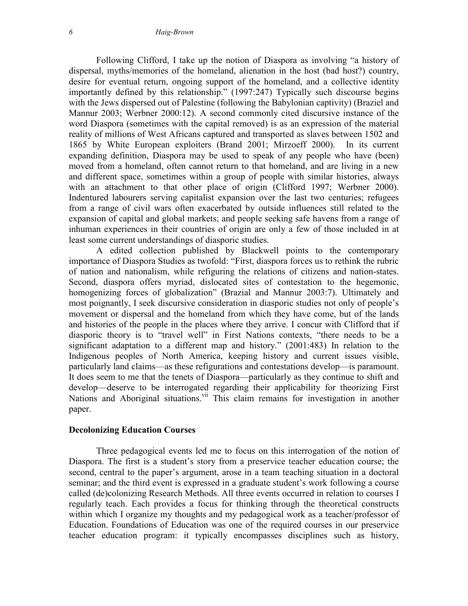Following Clifford, I take up the notion of Diaspora as involving "a history of dispersal, myths/memories of the homeland, alienation in the host (bad host?) country, desire for eventual return, ongoing support of the homeland, and a collective identity importantly defined by this relationship." (1997:247) Typically such discourse begins with the Jews dispersed out of Palestine (following the Babylonian captivity) (Braziel and Mannur 2003; Werbner 2000:12). A second commonly cited discursive instance of the word Diaspora (sometimes with the capital removed) is as an expression of the material reality of millions of West Africans captured and transported as slaves between 1502 and 1865 by White European exploiters (Brand 2001; Mirzoeff 2000). In its current expanding definition, Diaspora may be used to speak of any people who have (been) moved from a homeland, often cannot return to that homeland, and are living in a new and different space, sometimes within a group of people with similar histories, always with an attachment to that other place of origin (Clifford 1997; Werbner 2000). Indentured labourers serving capitalist expansion over the last two centuries; refugees from a range of civil wars often exacerbated by outside influences still related to the expansion of capital and global markets; and people seeking safe havens from a range of inhuman experiences in their countries of origin are only a few of those included in at least some current understandings of diasporic studies.

A edited collection published by Blackwell points to the contemporary importance of Diaspora Studies as twofold: "First, diaspora forces us to rethink the rubric of nation and nationalism, while refiguring the relations of citizens and nation-states. Second, diaspora offers myriad, dislocated sites of contestation to the hegemonic, homogenizing forces of globalization" (Brazial and Mannur 2003:7). Ultimately and most poignantly, I seek discursive consideration in diasporic studies not only of people's movement or dispersal and the homeland from which they have come, but of the lands and histories of the people in the places where they arrive. I concur with Clifford that if diasporic theory is to "travel well" in First Nations contexts, "there needs to be a significant adaptation to a different map and history." (2001:483) In relation to the Indigenous peoples of North America, keeping history and current issues visible, particularly land claims—as these refigurations and contestations develop—is paramount. It does seem to me that the tenets of Diaspora—particularly as they continue to shift and develop—deserve to be interrogated regarding their applicability for theorizing First Nations and Aboriginal situations.<sup>vii</sup> This claim remains for investigation in another paper.

#### Decolonizing Education Courses

Three pedagogical events led me to focus on this interrogation of the notion of Diaspora. The first is a student's story from a preservice teacher education course; the second, central to the paper's argument, arose in a team teaching situation in a doctoral seminar; and the third event is expressed in a graduate student's work following a course called (de)colonizing Research Methods. All three events occurred in relation to courses I regularly teach. Each provides a focus for thinking through the theoretical constructs within which I organize my thoughts and my pedagogical work as a teacher/professor of Education. Foundations of Education was one of the required courses in our preservice teacher education program: it typically encompasses disciplines such as history,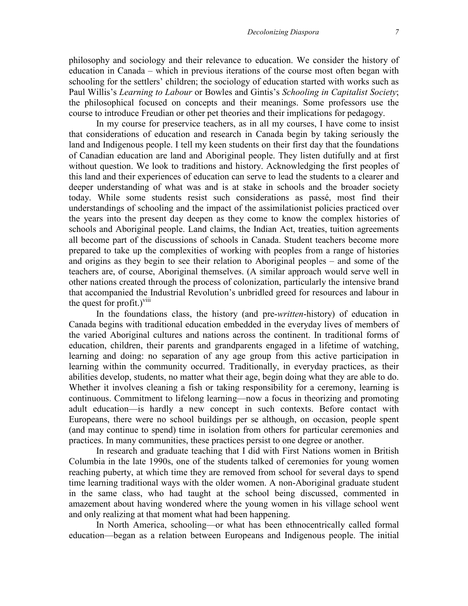philosophy and sociology and their relevance to education. We consider the history of education in Canada – which in previous iterations of the course most often began with schooling for the settlers' children; the sociology of education started with works such as Paul Willis's Learning to Labour or Bowles and Gintis's Schooling in Capitalist Society; the philosophical focused on concepts and their meanings. Some professors use the course to introduce Freudian or other pet theories and their implications for pedagogy.

In my course for preservice teachers, as in all my courses, I have come to insist that considerations of education and research in Canada begin by taking seriously the land and Indigenous people. I tell my keen students on their first day that the foundations of Canadian education are land and Aboriginal people. They listen dutifully and at first without question. We look to traditions and history. Acknowledging the first peoples of this land and their experiences of education can serve to lead the students to a clearer and deeper understanding of what was and is at stake in schools and the broader society today. While some students resist such considerations as passé, most find their understandings of schooling and the impact of the assimilationist policies practiced over the years into the present day deepen as they come to know the complex histories of schools and Aboriginal people. Land claims, the Indian Act, treaties, tuition agreements all become part of the discussions of schools in Canada. Student teachers become more prepared to take up the complexities of working with peoples from a range of histories and origins as they begin to see their relation to Aboriginal peoples – and some of the teachers are, of course, Aboriginal themselves. (A similar approach would serve well in other nations created through the process of colonization, particularly the intensive brand that accompanied the Industrial Revolution's unbridled greed for resources and labour in the quest for profit.) $v^{iii}$ 

In the foundations class, the history (and pre-*written*-history) of education in Canada begins with traditional education embedded in the everyday lives of members of the varied Aboriginal cultures and nations across the continent. In traditional forms of education, children, their parents and grandparents engaged in a lifetime of watching, learning and doing: no separation of any age group from this active participation in learning within the community occurred. Traditionally, in everyday practices, as their abilities develop, students, no matter what their age, begin doing what they are able to do. Whether it involves cleaning a fish or taking responsibility for a ceremony, learning is continuous. Commitment to lifelong learning—now a focus in theorizing and promoting adult education—is hardly a new concept in such contexts. Before contact with Europeans, there were no school buildings per se although, on occasion, people spent (and may continue to spend) time in isolation from others for particular ceremonies and practices. In many communities, these practices persist to one degree or another.

In research and graduate teaching that I did with First Nations women in British Columbia in the late 1990s, one of the students talked of ceremonies for young women reaching puberty, at which time they are removed from school for several days to spend time learning traditional ways with the older women. A non-Aboriginal graduate student in the same class, who had taught at the school being discussed, commented in amazement about having wondered where the young women in his village school went and only realizing at that moment what had been happening.

In North America, schooling—or what has been ethnocentrically called formal education—began as a relation between Europeans and Indigenous people. The initial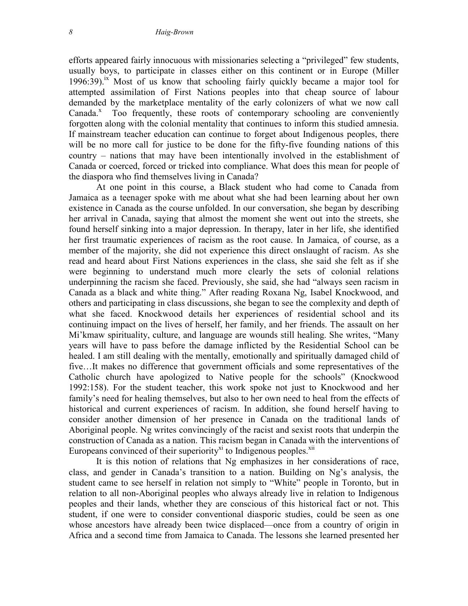efforts appeared fairly innocuous with missionaries selecting a "privileged" few students, usually boys, to participate in classes either on this continent or in Europe (Miller 1996:39).<sup>ix</sup> Most of us know that schooling fairly quickly became a major tool for attempted assimilation of First Nations peoples into that cheap source of labour demanded by the marketplace mentality of the early colonizers of what we now call Canada.<sup>x</sup> Too frequently, these roots of contemporary schooling are conveniently forgotten along with the colonial mentality that continues to inform this studied amnesia. If mainstream teacher education can continue to forget about Indigenous peoples, there will be no more call for justice to be done for the fifty-five founding nations of this country – nations that may have been intentionally involved in the establishment of Canada or coerced, forced or tricked into compliance. What does this mean for people of the diaspora who find themselves living in Canada?

At one point in this course, a Black student who had come to Canada from Jamaica as a teenager spoke with me about what she had been learning about her own existence in Canada as the course unfolded. In our conversation, she began by describing her arrival in Canada, saying that almost the moment she went out into the streets, she found herself sinking into a major depression. In therapy, later in her life, she identified her first traumatic experiences of racism as the root cause. In Jamaica, of course, as a member of the majority, she did not experience this direct onslaught of racism. As she read and heard about First Nations experiences in the class, she said she felt as if she were beginning to understand much more clearly the sets of colonial relations underpinning the racism she faced. Previously, she said, she had "always seen racism in Canada as a black and white thing." After reading Roxana Ng, Isabel Knockwood, and others and participating in class discussions, she began to see the complexity and depth of what she faced. Knockwood details her experiences of residential school and its continuing impact on the lives of herself, her family, and her friends. The assault on her Mi'kmaw spirituality, culture, and language are wounds still healing. She writes, "Many years will have to pass before the damage inflicted by the Residential School can be healed. I am still dealing with the mentally, emotionally and spiritually damaged child of five…It makes no difference that government officials and some representatives of the Catholic church have apologized to Native people for the schools" (Knockwood 1992:158). For the student teacher, this work spoke not just to Knockwood and her family's need for healing themselves, but also to her own need to heal from the effects of historical and current experiences of racism. In addition, she found herself having to consider another dimension of her presence in Canada on the traditional lands of Aboriginal people. Ng writes convincingly of the racist and sexist roots that underpin the construction of Canada as a nation. This racism began in Canada with the interventions of Europeans convinced of their superiority<sup>xi</sup> to Indigenous peoples.<sup>xii</sup>

It is this notion of relations that Ng emphasizes in her considerations of race, class, and gender in Canada's transition to a nation. Building on Ng's analysis, the student came to see herself in relation not simply to "White" people in Toronto, but in relation to all non-Aboriginal peoples who always already live in relation to Indigenous peoples and their lands, whether they are conscious of this historical fact or not. This student, if one were to consider conventional diasporic studies, could be seen as one whose ancestors have already been twice displaced—once from a country of origin in Africa and a second time from Jamaica to Canada. The lessons she learned presented her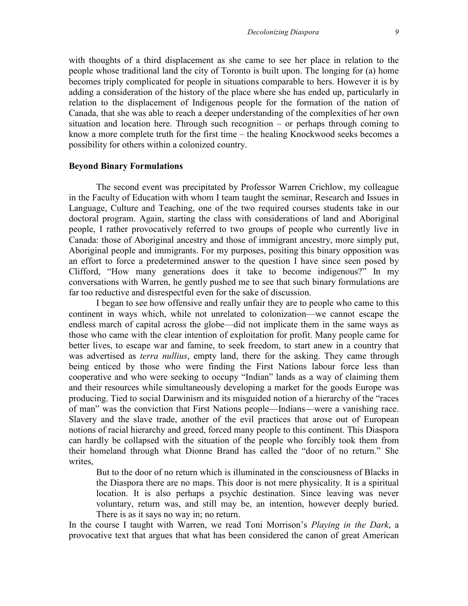with thoughts of a third displacement as she came to see her place in relation to the people whose traditional land the city of Toronto is built upon. The longing for (a) home becomes triply complicated for people in situations comparable to hers. However it is by adding a consideration of the history of the place where she has ended up, particularly in relation to the displacement of Indigenous people for the formation of the nation of Canada, that she was able to reach a deeper understanding of the complexities of her own situation and location here. Through such recognition – or perhaps through coming to know a more complete truth for the first time – the healing Knockwood seeks becomes a possibility for others within a colonized country.

#### Beyond Binary Formulations

The second event was precipitated by Professor Warren Crichlow, my colleague in the Faculty of Education with whom I team taught the seminar, Research and Issues in Language, Culture and Teaching, one of the two required courses students take in our doctoral program. Again, starting the class with considerations of land and Aboriginal people, I rather provocatively referred to two groups of people who currently live in Canada: those of Aboriginal ancestry and those of immigrant ancestry, more simply put, Aboriginal people and immigrants. For my purposes, positing this binary opposition was an effort to force a predetermined answer to the question I have since seen posed by Clifford, "How many generations does it take to become indigenous?" In my conversations with Warren, he gently pushed me to see that such binary formulations are far too reductive and disrespectful even for the sake of discussion.

I began to see how offensive and really unfair they are to people who came to this continent in ways which, while not unrelated to colonization—we cannot escape the endless march of capital across the globe—did not implicate them in the same ways as those who came with the clear intention of exploitation for profit. Many people came for better lives, to escape war and famine, to seek freedom, to start anew in a country that was advertised as *terra nullius*, empty land, there for the asking. They came through being enticed by those who were finding the First Nations labour force less than cooperative and who were seeking to occupy "Indian" lands as a way of claiming them and their resources while simultaneously developing a market for the goods Europe was producing. Tied to social Darwinism and its misguided notion of a hierarchy of the "races of man" was the conviction that First Nations people—Indians—were a vanishing race. Slavery and the slave trade, another of the evil practices that arose out of European notions of racial hierarchy and greed, forced many people to this continent. This Diaspora can hardly be collapsed with the situation of the people who forcibly took them from their homeland through what Dionne Brand has called the "door of no return." She writes,

But to the door of no return which is illuminated in the consciousness of Blacks in the Diaspora there are no maps. This door is not mere physicality. It is a spiritual location. It is also perhaps a psychic destination. Since leaving was never voluntary, return was, and still may be, an intention, however deeply buried. There is as it says no way in; no return.

In the course I taught with Warren, we read Toni Morrison's *Playing in the Dark*, a provocative text that argues that what has been considered the canon of great American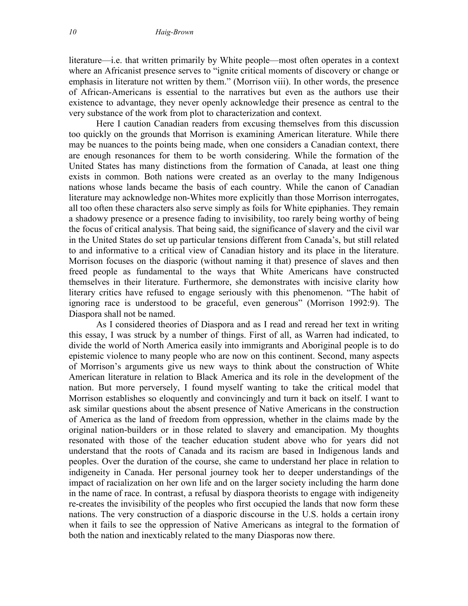literature—i.e. that written primarily by White people—most often operates in a context where an Africanist presence serves to "ignite critical moments of discovery or change or emphasis in literature not written by them." (Morrison viii). In other words, the presence of African-Americans is essential to the narratives but even as the authors use their existence to advantage, they never openly acknowledge their presence as central to the very substance of the work from plot to characterization and context.

Here I caution Canadian readers from excusing themselves from this discussion too quickly on the grounds that Morrison is examining American literature. While there may be nuances to the points being made, when one considers a Canadian context, there are enough resonances for them to be worth considering. While the formation of the United States has many distinctions from the formation of Canada, at least one thing exists in common. Both nations were created as an overlay to the many Indigenous nations whose lands became the basis of each country. While the canon of Canadian literature may acknowledge non-Whites more explicitly than those Morrison interrogates, all too often these characters also serve simply as foils for White epiphanies. They remain a shadowy presence or a presence fading to invisibility, too rarely being worthy of being the focus of critical analysis. That being said, the significance of slavery and the civil war in the United States do set up particular tensions different from Canada's, but still related to and informative to a critical view of Canadian history and its place in the literature. Morrison focuses on the diasporic (without naming it that) presence of slaves and then freed people as fundamental to the ways that White Americans have constructed themselves in their literature. Furthermore, she demonstrates with incisive clarity how literary critics have refused to engage seriously with this phenomenon. "The habit of ignoring race is understood to be graceful, even generous" (Morrison 1992:9). The Diaspora shall not be named.

As I considered theories of Diaspora and as I read and reread her text in writing this essay, I was struck by a number of things. First of all, as Warren had indicated, to divide the world of North America easily into immigrants and Aboriginal people is to do epistemic violence to many people who are now on this continent. Second, many aspects of Morrison's arguments give us new ways to think about the construction of White American literature in relation to Black America and its role in the development of the nation. But more perversely, I found myself wanting to take the critical model that Morrison establishes so eloquently and convincingly and turn it back on itself. I want to ask similar questions about the absent presence of Native Americans in the construction of America as the land of freedom from oppression, whether in the claims made by the original nation-builders or in those related to slavery and emancipation. My thoughts resonated with those of the teacher education student above who for years did not understand that the roots of Canada and its racism are based in Indigenous lands and peoples. Over the duration of the course, she came to understand her place in relation to indigeneity in Canada. Her personal journey took her to deeper understandings of the impact of racialization on her own life and on the larger society including the harm done in the name of race. In contrast, a refusal by diaspora theorists to engage with indigeneity re-creates the invisibility of the peoples who first occupied the lands that now form these nations. The very construction of a diasporic discourse in the U.S. holds a certain irony when it fails to see the oppression of Native Americans as integral to the formation of both the nation and inexticably related to the many Diasporas now there.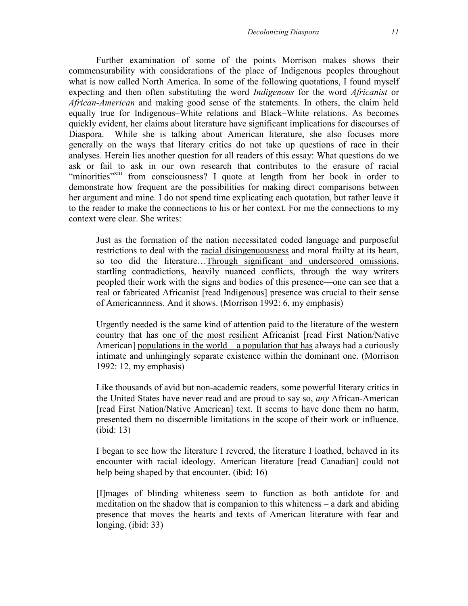Further examination of some of the points Morrison makes shows their commensurability with considerations of the place of Indigenous peoples throughout what is now called North America. In some of the following quotations, I found myself expecting and then often substituting the word Indigenous for the word Africanist or African-American and making good sense of the statements. In others, the claim held equally true for Indigenous–White relations and Black–White relations. As becomes quickly evident, her claims about literature have significant implications for discourses of Diaspora. While she is talking about American literature, she also focuses more generally on the ways that literary critics do not take up questions of race in their analyses. Herein lies another question for all readers of this essay: What questions do we ask or fail to ask in our own research that contributes to the erasure of racial "minorities"<sup>xiii</sup> from consciousness? I quote at length from her book in order to demonstrate how frequent are the possibilities for making direct comparisons between her argument and mine. I do not spend time explicating each quotation, but rather leave it to the reader to make the connections to his or her context. For me the connections to my context were clear. She writes:

Just as the formation of the nation necessitated coded language and purposeful restrictions to deal with the racial disingenuousness and moral frailty at its heart, so too did the literature…Through significant and underscored omissions, startling contradictions, heavily nuanced conflicts, through the way writers peopled their work with the signs and bodies of this presence—one can see that a real or fabricated Africanist [read Indigenous] presence was crucial to their sense of Americannness. And it shows. (Morrison 1992: 6, my emphasis)

Urgently needed is the same kind of attention paid to the literature of the western country that has one of the most resilient Africanist [read First Nation/Native American] populations in the world—a population that has always had a curiously intimate and unhingingly separate existence within the dominant one. (Morrison 1992: 12, my emphasis)

Like thousands of avid but non-academic readers, some powerful literary critics in the United States have never read and are proud to say so, any African-American [read First Nation/Native American] text. It seems to have done them no harm, presented them no discernible limitations in the scope of their work or influence. (ibid: 13)

I began to see how the literature I revered, the literature I loathed, behaved in its encounter with racial ideology. American literature [read Canadian] could not help being shaped by that encounter. (ibid: 16)

[I]mages of blinding whiteness seem to function as both antidote for and meditation on the shadow that is companion to this whiteness – a dark and abiding presence that moves the hearts and texts of American literature with fear and longing. (ibid: 33)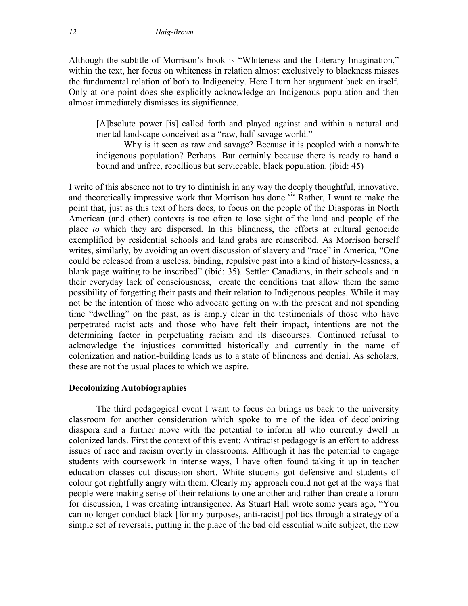Although the subtitle of Morrison's book is "Whiteness and the Literary Imagination," within the text, her focus on whiteness in relation almost exclusively to blackness misses the fundamental relation of both to Indigeneity. Here I turn her argument back on itself. Only at one point does she explicitly acknowledge an Indigenous population and then almost immediately dismisses its significance.

[A]bsolute power [is] called forth and played against and within a natural and mental landscape conceived as a "raw, half-savage world."

Why is it seen as raw and savage? Because it is peopled with a nonwhite indigenous population? Perhaps. But certainly because there is ready to hand a bound and unfree, rebellious but serviceable, black population. (ibid: 45)

I write of this absence not to try to diminish in any way the deeply thoughtful, innovative, and theoretically impressive work that Morrison has done.<sup>xiv</sup> Rather, I want to make the point that, just as this text of hers does, to focus on the people of the Diasporas in North American (and other) contexts is too often to lose sight of the land and people of the place to which they are dispersed. In this blindness, the efforts at cultural genocide exemplified by residential schools and land grabs are reinscribed. As Morrison herself writes, similarly, by avoiding an overt discussion of slavery and "race" in America, "One could be released from a useless, binding, repulsive past into a kind of history-lessness, a blank page waiting to be inscribed" (ibid: 35). Settler Canadians, in their schools and in their everyday lack of consciousness, create the conditions that allow them the same possibility of forgetting their pasts and their relation to Indigenous peoples. While it may not be the intention of those who advocate getting on with the present and not spending time "dwelling" on the past, as is amply clear in the testimonials of those who have perpetrated racist acts and those who have felt their impact, intentions are not the determining factor in perpetuating racism and its discourses. Continued refusal to acknowledge the injustices committed historically and currently in the name of colonization and nation-building leads us to a state of blindness and denial. As scholars, these are not the usual places to which we aspire.

#### Decolonizing Autobiographies

The third pedagogical event I want to focus on brings us back to the university classroom for another consideration which spoke to me of the idea of decolonizing diaspora and a further move with the potential to inform all who currently dwell in colonized lands. First the context of this event: Antiracist pedagogy is an effort to address issues of race and racism overtly in classrooms. Although it has the potential to engage students with coursework in intense ways, I have often found taking it up in teacher education classes cut discussion short. White students got defensive and students of colour got rightfully angry with them. Clearly my approach could not get at the ways that people were making sense of their relations to one another and rather than create a forum for discussion, I was creating intransigence. As Stuart Hall wrote some years ago, "You can no longer conduct black [for my purposes, anti-racist] politics through a strategy of a simple set of reversals, putting in the place of the bad old essential white subject, the new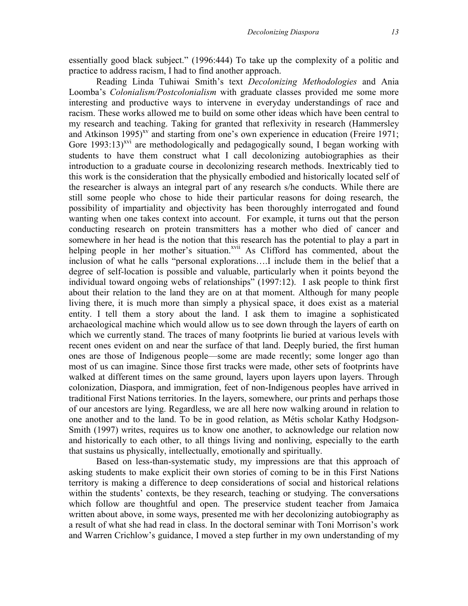essentially good black subject." (1996:444) To take up the complexity of a politic and practice to address racism, I had to find another approach.

Reading Linda Tuhiwai Smith's text Decolonizing Methodologies and Ania Loomba's Colonialism/Postcolonialism with graduate classes provided me some more interesting and productive ways to intervene in everyday understandings of race and racism. These works allowed me to build on some other ideas which have been central to my research and teaching. Taking for granted that reflexivity in research (Hammersley and Atkinson 1995)<sup>xv</sup> and starting from one's own experience in education (Freire 1971; Gore  $1993:13$ <sup>xvi</sup> are methodologically and pedagogically sound, I began working with students to have them construct what I call decolonizing autobiographies as their introduction to a graduate course in decolonizing research methods. Inextricably tied to this work is the consideration that the physically embodied and historically located self of the researcher is always an integral part of any research s/he conducts. While there are still some people who chose to hide their particular reasons for doing research, the possibility of impartiality and objectivity has been thoroughly interrogated and found wanting when one takes context into account. For example, it turns out that the person conducting research on protein transmitters has a mother who died of cancer and somewhere in her head is the notion that this research has the potential to play a part in helping people in her mother's situation.<sup>xvii</sup> As Clifford has commented, about the inclusion of what he calls "personal explorations….I include them in the belief that a degree of self-location is possible and valuable, particularly when it points beyond the individual toward ongoing webs of relationships" (1997:12). I ask people to think first about their relation to the land they are on at that moment. Although for many people living there, it is much more than simply a physical space, it does exist as a material entity. I tell them a story about the land. I ask them to imagine a sophisticated archaeological machine which would allow us to see down through the layers of earth on which we currently stand. The traces of many footprints lie buried at various levels with recent ones evident on and near the surface of that land. Deeply buried, the first human ones are those of Indigenous people—some are made recently; some longer ago than most of us can imagine. Since those first tracks were made, other sets of footprints have walked at different times on the same ground, layers upon layers upon layers. Through colonization, Diaspora, and immigration, feet of non-Indigenous peoples have arrived in traditional First Nations territories. In the layers, somewhere, our prints and perhaps those of our ancestors are lying. Regardless, we are all here now walking around in relation to one another and to the land. To be in good relation, as Métis scholar Kathy Hodgson-Smith (1997) writes, requires us to know one another, to acknowledge our relation now and historically to each other, to all things living and nonliving, especially to the earth that sustains us physically, intellectually, emotionally and spiritually.

Based on less-than-systematic study, my impressions are that this approach of asking students to make explicit their own stories of coming to be in this First Nations territory is making a difference to deep considerations of social and historical relations within the students' contexts, be they research, teaching or studying. The conversations which follow are thoughtful and open. The preservice student teacher from Jamaica written about above, in some ways, presented me with her decolonizing autobiography as a result of what she had read in class. In the doctoral seminar with Toni Morrison's work and Warren Crichlow's guidance, I moved a step further in my own understanding of my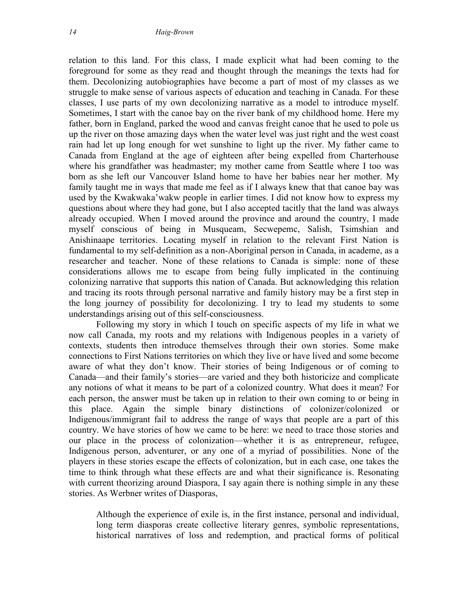relation to this land. For this class, I made explicit what had been coming to the foreground for some as they read and thought through the meanings the texts had for them. Decolonizing autobiographies have become a part of most of my classes as we struggle to make sense of various aspects of education and teaching in Canada. For these classes, I use parts of my own decolonizing narrative as a model to introduce myself. Sometimes, I start with the canoe bay on the river bank of my childhood home. Here my father, born in England, parked the wood and canvas freight canoe that he used to pole us up the river on those amazing days when the water level was just right and the west coast rain had let up long enough for wet sunshine to light up the river. My father came to Canada from England at the age of eighteen after being expelled from Charterhouse where his grandfather was headmaster; my mother came from Seattle where I too was born as she left our Vancouver Island home to have her babies near her mother. My family taught me in ways that made me feel as if I always knew that that canoe bay was used by the Kwakwaka'wakw people in earlier times. I did not know how to express my questions about where they had gone, but I also accepted tacitly that the land was always already occupied. When I moved around the province and around the country, I made myself conscious of being in Musqueam, Secwepemc, Salish, Tsimshian and Anishinaape territories. Locating myself in relation to the relevant First Nation is fundamental to my self-definition as a non-Aboriginal person in Canada, in academe, as a researcher and teacher. None of these relations to Canada is simple: none of these considerations allows me to escape from being fully implicated in the continuing colonizing narrative that supports this nation of Canada. But acknowledging this relation and tracing its roots through personal narrative and family history may be a first step in the long journey of possibility for decolonizing. I try to lead my students to some understandings arising out of this self-consciousness.

Following my story in which I touch on specific aspects of my life in what we now call Canada, my roots and my relations with Indigenous peoples in a variety of contexts, students then introduce themselves through their own stories. Some make connections to First Nations territories on which they live or have lived and some become aware of what they don't know. Their stories of being Indigenous or of coming to Canada—and their family's stories—are varied and they both historicize and complicate any notions of what it means to be part of a colonized country. What does it mean? For each person, the answer must be taken up in relation to their own coming to or being in this place. Again the simple binary distinctions of colonizer/colonized or Indigenous/immigrant fail to address the range of ways that people are a part of this country. We have stories of how we came to be here: we need to trace those stories and our place in the process of colonization—whether it is as entrepreneur, refugee, Indigenous person, adventurer, or any one of a myriad of possibilities. None of the players in these stories escape the effects of colonization, but in each case, one takes the time to think through what these effects are and what their significance is. Resonating with current theorizing around Diaspora, I say again there is nothing simple in any these stories. As Werbner writes of Diasporas,

Although the experience of exile is, in the first instance, personal and individual, long term diasporas create collective literary genres, symbolic representations, historical narratives of loss and redemption, and practical forms of political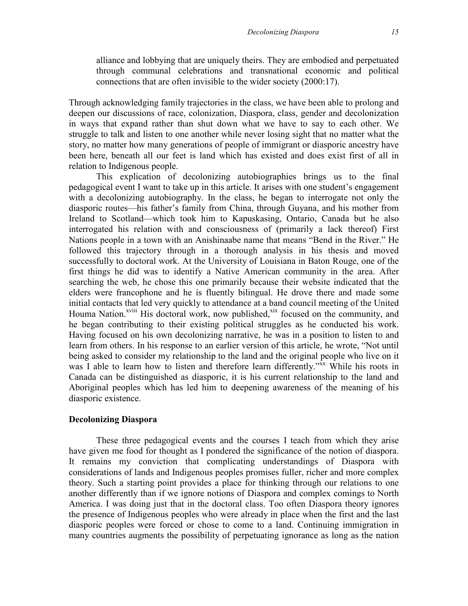alliance and lobbying that are uniquely theirs. They are embodied and perpetuated through communal celebrations and transnational economic and political connections that are often invisible to the wider society (2000:17).

Through acknowledging family trajectories in the class, we have been able to prolong and deepen our discussions of race, colonization, Diaspora, class, gender and decolonization in ways that expand rather than shut down what we have to say to each other. We struggle to talk and listen to one another while never losing sight that no matter what the story, no matter how many generations of people of immigrant or diasporic ancestry have been here, beneath all our feet is land which has existed and does exist first of all in relation to Indigenous people.

This explication of decolonizing autobiographies brings us to the final pedagogical event I want to take up in this article. It arises with one student's engagement with a decolonizing autobiography. In the class, he began to interrogate not only the diasporic routes—his father's family from China, through Guyana, and his mother from Ireland to Scotland—which took him to Kapuskasing, Ontario, Canada but he also interrogated his relation with and consciousness of (primarily a lack thereof) First Nations people in a town with an Anishinaabe name that means "Bend in the River." He followed this trajectory through in a thorough analysis in his thesis and moved successfully to doctoral work. At the University of Louisiana in Baton Rouge, one of the first things he did was to identify a Native American community in the area. After searching the web, he chose this one primarily because their website indicated that the elders were francophone and he is fluently bilingual. He drove there and made some initial contacts that led very quickly to attendance at a band council meeting of the United Houma Nation.<sup>xviii</sup> His doctoral work, now published,<sup>xix</sup> focused on the community, and he began contributing to their existing political struggles as he conducted his work. Having focused on his own decolonizing narrative, he was in a position to listen to and learn from others. In his response to an earlier version of this article, he wrote, "Not until being asked to consider my relationship to the land and the original people who live on it was I able to learn how to listen and therefore learn differently."<sup>xx</sup> While his roots in Canada can be distinguished as diasporic, it is his current relationship to the land and Aboriginal peoples which has led him to deepening awareness of the meaning of his diasporic existence.

### Decolonizing Diaspora

These three pedagogical events and the courses I teach from which they arise have given me food for thought as I pondered the significance of the notion of diaspora. It remains my conviction that complicating understandings of Diaspora with considerations of lands and Indigenous peoples promises fuller, richer and more complex theory. Such a starting point provides a place for thinking through our relations to one another differently than if we ignore notions of Diaspora and complex comings to North America. I was doing just that in the doctoral class. Too often Diaspora theory ignores the presence of Indigenous peoples who were already in place when the first and the last diasporic peoples were forced or chose to come to a land. Continuing immigration in many countries augments the possibility of perpetuating ignorance as long as the nation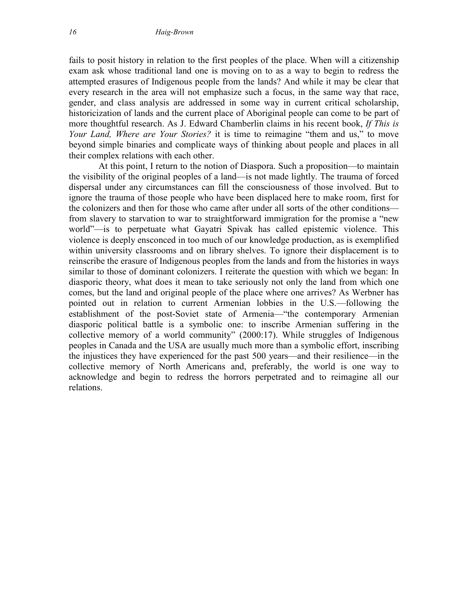fails to posit history in relation to the first peoples of the place. When will a citizenship exam ask whose traditional land one is moving on to as a way to begin to redress the attempted erasures of Indigenous people from the lands? And while it may be clear that every research in the area will not emphasize such a focus, in the same way that race, gender, and class analysis are addressed in some way in current critical scholarship, historicization of lands and the current place of Aboriginal people can come to be part of more thoughtful research. As J. Edward Chamberlin claims in his recent book, If This is Your Land, Where are Your Stories? it is time to reimagine "them and us," to move beyond simple binaries and complicate ways of thinking about people and places in all their complex relations with each other.

 At this point, I return to the notion of Diaspora. Such a proposition—to maintain the visibility of the original peoples of a land—is not made lightly. The trauma of forced dispersal under any circumstances can fill the consciousness of those involved. But to ignore the trauma of those people who have been displaced here to make room, first for the colonizers and then for those who came after under all sorts of the other conditions from slavery to starvation to war to straightforward immigration for the promise a "new world"—is to perpetuate what Gayatri Spivak has called epistemic violence. This violence is deeply ensconced in too much of our knowledge production, as is exemplified within university classrooms and on library shelves. To ignore their displacement is to reinscribe the erasure of Indigenous peoples from the lands and from the histories in ways similar to those of dominant colonizers. I reiterate the question with which we began: In diasporic theory, what does it mean to take seriously not only the land from which one comes, but the land and original people of the place where one arrives? As Werbner has pointed out in relation to current Armenian lobbies in the U.S.—following the establishment of the post-Soviet state of Armenia—"the contemporary Armenian diasporic political battle is a symbolic one: to inscribe Armenian suffering in the collective memory of a world community" (2000:17). While struggles of Indigenous peoples in Canada and the USA are usually much more than a symbolic effort, inscribing the injustices they have experienced for the past 500 years—and their resilience—in the collective memory of North Americans and, preferably, the world is one way to acknowledge and begin to redress the horrors perpetrated and to reimagine all our relations.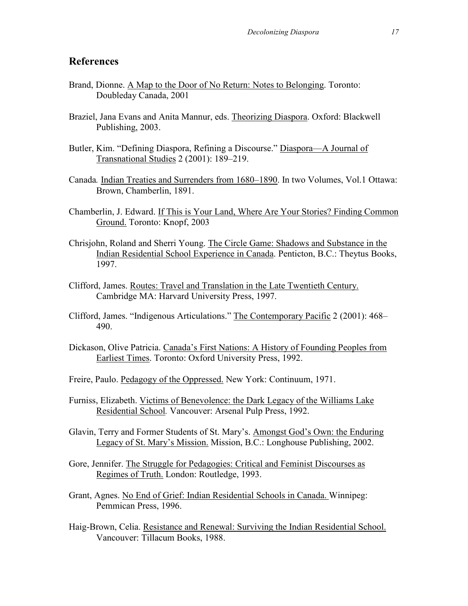### **References**

- Brand, Dionne. A Map to the Door of No Return: Notes to Belonging. Toronto: Doubleday Canada, 2001
- Braziel, Jana Evans and Anita Mannur, eds. Theorizing Diaspora. Oxford: Blackwell Publishing, 2003.
- Butler, Kim. "Defining Diaspora, Refining a Discourse." Diaspora—A Journal of Transnational Studies 2 (2001): 189–219.
- Canada. Indian Treaties and Surrenders from 1680–1890. In two Volumes, Vol.1 Ottawa: Brown, Chamberlin, 1891.
- Chamberlin, J. Edward. If This is Your Land, Where Are Your Stories? Finding Common Ground. Toronto: Knopf, 2003
- Chrisjohn, Roland and Sherri Young. The Circle Game: Shadows and Substance in the Indian Residential School Experience in Canada. Penticton, B.C.: Theytus Books, 1997.
- Clifford, James. Routes: Travel and Translation in the Late Twentieth Century. Cambridge MA: Harvard University Press, 1997.
- Clifford, James. "Indigenous Articulations." The Contemporary Pacific 2 (2001): 468– 490.
- Dickason, Olive Patricia. Canada's First Nations: A History of Founding Peoples from Earliest Times. Toronto: Oxford University Press, 1992.
- Freire, Paulo. Pedagogy of the Oppressed. New York: Continuum, 1971.
- Furniss, Elizabeth. Victims of Benevolence: the Dark Legacy of the Williams Lake Residential School. Vancouver: Arsenal Pulp Press, 1992.
- Glavin, Terry and Former Students of St. Mary's. Amongst God's Own: the Enduring Legacy of St. Mary's Mission. Mission, B.C.: Longhouse Publishing, 2002.
- Gore, Jennifer. The Struggle for Pedagogies: Critical and Feminist Discourses as Regimes of Truth. London: Routledge, 1993.
- Grant, Agnes. No End of Grief: Indian Residential Schools in Canada. Winnipeg: Pemmican Press, 1996.
- Haig-Brown, Celia. Resistance and Renewal: Surviving the Indian Residential School. Vancouver: Tillacum Books, 1988.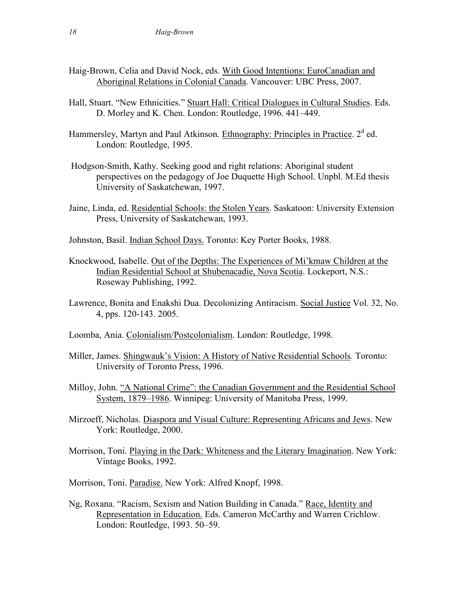- Haig-Brown, Celia and David Nock, eds. With Good Intentions: EuroCanadian and Aboriginal Relations in Colonial Canada. Vancouver: UBC Press, 2007.
- Hall, Stuart. "New Ethnicities." Stuart Hall: Critical Dialogues in Cultural Studies. Eds. D. Morley and K. Chen. London: Routledge, 1996. 441–449.
- Hammersley, Martyn and Paul Atkinson. Ethnography: Principles in Practice. 2<sup>d</sup> ed. London: Routledge, 1995.
- Hodgson-Smith, Kathy. Seeking good and right relations: Aboriginal student perspectives on the pedagogy of Joe Duquette High School. Unpbl. M.Ed thesis University of Saskatchewan, 1997.
- Jaine, Linda, ed. Residential Schools: the Stolen Years. Saskatoon: University Extension Press, University of Saskatchewan, 1993.
- Johnston, Basil. Indian School Days. Toronto: Key Porter Books, 1988.
- Knockwood, Isabelle. Out of the Depths: The Experiences of Mi'kmaw Children at the Indian Residential School at Shubenacadie, Nova Scotia. Lockeport, N.S.: Roseway Publishing, 1992.
- Lawrence, Bonita and Enakshi Dua. Decolonizing Antiracism. Social Justice Vol. 32, No. 4, pps. 120-143. 2005.
- Loomba, Ania. Colonialism/Postcolonialism. London: Routledge, 1998.
- Miller, James. Shingwauk's Vision: A History of Native Residential Schools. Toronto: University of Toronto Press, 1996.
- Milloy, John. "A National Crime": the Canadian Government and the Residential School System, 1879–1986. Winnipeg: University of Manitoba Press, 1999.
- Mirzoeff, Nicholas. Diaspora and Visual Culture: Representing Africans and Jews. New York: Routledge, 2000.
- Morrison, Toni. Playing in the Dark: Whiteness and the Literary Imagination. New York: Vintage Books, 1992.
- Morrison, Toni. Paradise. New York: Alfred Knopf, 1998.
- Ng, Roxana. "Racism, Sexism and Nation Building in Canada." Race, Identity and Representation in Education. Eds. Cameron McCarthy and Warren Crichlow. London: Routledge, 1993. 50–59.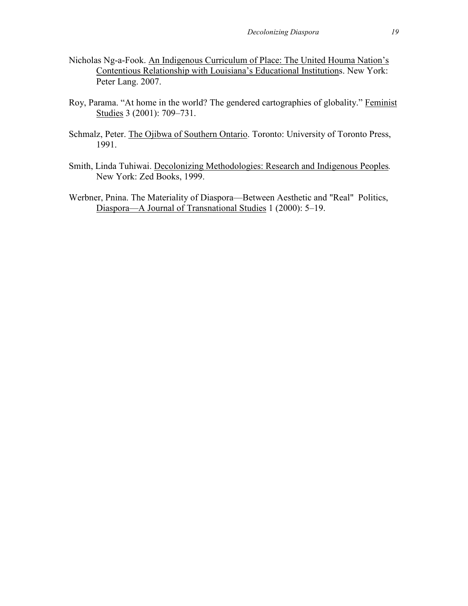- Nicholas Ng-a-Fook. An Indigenous Curriculum of Place: The United Houma Nation's Contentious Relationship with Louisiana's Educational Institutions. New York: Peter Lang. 2007.
- Roy, Parama. "At home in the world? The gendered cartographies of globality." Feminist Studies 3 (2001): 709–731.
- Schmalz, Peter. The Ojibwa of Southern Ontario. Toronto: University of Toronto Press, 1991.
- Smith, Linda Tuhiwai. Decolonizing Methodologies: Research and Indigenous Peoples. New York: Zed Books, 1999.
- Werbner, Pnina. The Materiality of Diaspora—Between Aesthetic and "Real" Politics, Diaspora—A Journal of Transnational Studies 1 (2000): 5–19.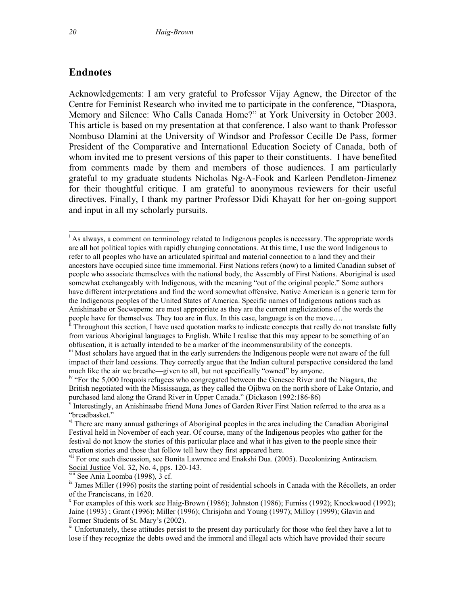## Endnotes

Acknowledgements: I am very grateful to Professor Vijay Agnew, the Director of the Centre for Feminist Research who invited me to participate in the conference, "Diaspora, Memory and Silence: Who Calls Canada Home?" at York University in October 2003. This article is based on my presentation at that conference. I also want to thank Professor Nombuso Dlamini at the University of Windsor and Professor Cecille De Pass, former President of the Comparative and International Education Society of Canada, both of whom invited me to present versions of this paper to their constituents. I have benefited from comments made by them and members of those audiences. I am particularly grateful to my graduate students Nicholas Ng-A-Fook and Karleen Pendleton-Jimenez for their thoughtful critique. I am grateful to anonymous reviewers for their useful directives. Finally, I thank my partner Professor Didi Khayatt for her on-going support and input in all my scholarly pursuits.

l

<sup>&</sup>lt;sup>i</sup> As always, a comment on terminology related to Indigenous peoples is necessary. The appropriate words are all hot political topics with rapidly changing connotations. At this time, I use the word Indigenous to refer to all peoples who have an articulated spiritual and material connection to a land they and their ancestors have occupied since time immemorial. First Nations refers (now) to a limited Canadian subset of people who associate themselves with the national body, the Assembly of First Nations. Aboriginal is used somewhat exchangeably with Indigenous, with the meaning "out of the original people." Some authors have different interpretations and find the word somewhat offensive. Native American is a generic term for the Indigenous peoples of the United States of America. Specific names of Indigenous nations such as Anishinaabe or Secwepemc are most appropriate as they are the current anglicizations of the words the people have for themselves. They too are in flux. In this case, language is on the move….

<sup>&</sup>lt;sup>ii</sup> Throughout this section, I have used quotation marks to indicate concepts that really do not translate fully from various Aboriginal languages to English. While I realise that this may appear to be something of an obfuscation, it is actually intended to be a marker of the incommensurability of the concepts.

iii Most scholars have argued that in the early surrenders the Indigenous people were not aware of the full impact of their land cessions. They correctly argue that the Indian cultural perspective considered the land much like the air we breathe—given to all, but not specifically "owned" by anyone.

<sup>&</sup>lt;sup>iv</sup> "For the 5,000 Iroquois refugees who congregated between the Genesee River and the Niagara, the British negotiated with the Mississauga, as they called the Ojibwa on the north shore of Lake Ontario, and purchased land along the Grand River in Upper Canada." (Dickason 1992:186-86)

V Interestingly, an Anishinaabe friend Mona Jones of Garden River First Nation referred to the area as a "breadbasket."

<sup>&</sup>lt;sup>vi</sup> There are many annual gatherings of Aboriginal peoples in the area including the Canadian Aboriginal Festival held in November of each year. Of course, many of the Indigenous peoples who gather for the festival do not know the stories of this particular place and what it has given to the people since their creation stories and those that follow tell how they first appeared here.

<sup>&</sup>lt;sup>vii</sup> For one such discussion, see Bonita Lawrence and Enakshi Dua. (2005). Decolonizing Antiracism. Social Justice Vol. 32, No. 4, pps. 120-143.

viii See Ania Loomba (1998), 3 cf.

<sup>&</sup>lt;sup>ix</sup> James Miller (1996) posits the starting point of residential schools in Canada with the Récollets, an order of the Franciscans, in 1620.

<sup>&</sup>lt;sup>x</sup> For examples of this work see Haig-Brown (1986); Johnston (1986); Furniss (1992); Knockwood (1992); Jaine (1993) ; Grant (1996); Miller (1996); Chrisjohn and Young (1997); Milloy (1999); Glavin and Former Students of St. Mary's (2002).

 $x<sup>x<sub>1</sub></sup>$  Unfortunately, these attitudes persist to the present day particularly for those who feel they have a lot to lose if they recognize the debts owed and the immoral and illegal acts which have provided their secure